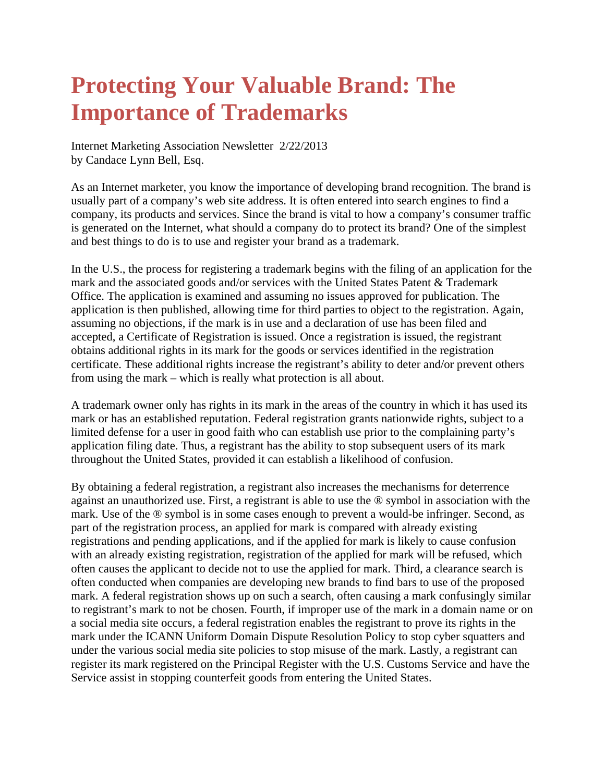## **Protecting Your Valuable Brand: The Importance of Trademarks**

Internet Marketing Association Newsletter 2/22/2013 by Candace Lynn Bell, Esq.

As an Internet marketer, you know the importance of developing brand recognition. The brand is usually part of a company's web site address. It is often entered into search engines to find a company, its products and services. Since the brand is vital to how a company's consumer traffic is generated on the Internet, what should a company do to protect its brand? One of the simplest and best things to do is to use and register your brand as a trademark.

In the U.S., the process for registering a trademark begins with the filing of an application for the mark and the associated goods and/or services with the United States Patent & Trademark Office. The application is examined and assuming no issues approved for publication. The application is then published, allowing time for third parties to object to the registration. Again, assuming no objections, if the mark is in use and a declaration of use has been filed and accepted, a Certificate of Registration is issued. Once a registration is issued, the registrant obtains additional rights in its mark for the goods or services identified in the registration certificate. These additional rights increase the registrant's ability to deter and/or prevent others from using the mark – which is really what protection is all about.

A trademark owner only has rights in its mark in the areas of the country in which it has used its mark or has an established reputation. Federal registration grants nationwide rights, subject to a limited defense for a user in good faith who can establish use prior to the complaining party's application filing date. Thus, a registrant has the ability to stop subsequent users of its mark throughout the United States, provided it can establish a likelihood of confusion.

By obtaining a federal registration, a registrant also increases the mechanisms for deterrence against an unauthorized use. First, a registrant is able to use the ® symbol in association with the mark. Use of the ® symbol is in some cases enough to prevent a would-be infringer. Second, as part of the registration process, an applied for mark is compared with already existing registrations and pending applications, and if the applied for mark is likely to cause confusion with an already existing registration, registration of the applied for mark will be refused, which often causes the applicant to decide not to use the applied for mark. Third, a clearance search is often conducted when companies are developing new brands to find bars to use of the proposed mark. A federal registration shows up on such a search, often causing a mark confusingly similar to registrant's mark to not be chosen. Fourth, if improper use of the mark in a domain name or on a social media site occurs, a federal registration enables the registrant to prove its rights in the mark under the ICANN Uniform Domain Dispute Resolution Policy to stop cyber squatters and under the various social media site policies to stop misuse of the mark. Lastly, a registrant can register its mark registered on the Principal Register with the U.S. Customs Service and have the Service assist in stopping counterfeit goods from entering the United States.